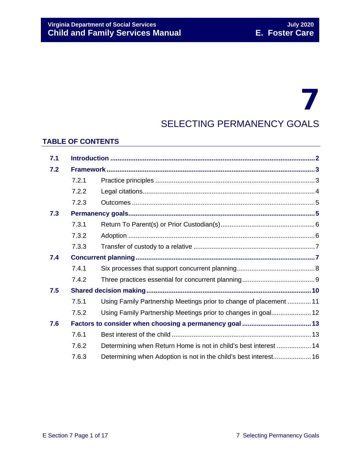## 7 SELECTING PERMANENCY GOALS

### **TABLE OF CONTENTS**

| 7.1               |       |                                                                    |  |
|-------------------|-------|--------------------------------------------------------------------|--|
| 7.2               |       |                                                                    |  |
|                   | 7.2.1 |                                                                    |  |
|                   | 7.2.2 |                                                                    |  |
|                   | 7.2.3 |                                                                    |  |
| 7.3               |       |                                                                    |  |
|                   | 7.3.1 |                                                                    |  |
| 7.4<br>7.5<br>7.6 | 7.3.2 |                                                                    |  |
|                   | 7.3.3 |                                                                    |  |
|                   |       |                                                                    |  |
|                   | 7.4.1 |                                                                    |  |
|                   | 7.4.2 |                                                                    |  |
|                   |       |                                                                    |  |
|                   | 7.5.1 | Using Family Partnership Meetings prior to change of placement  11 |  |
|                   | 7.5.2 | Using Family Partnership Meetings prior to changes in goal 12      |  |
|                   |       |                                                                    |  |
|                   | 7.6.1 |                                                                    |  |
|                   | 7.6.2 | Determining when Return Home is not in child's best interest  14   |  |
|                   | 7.6.3 |                                                                    |  |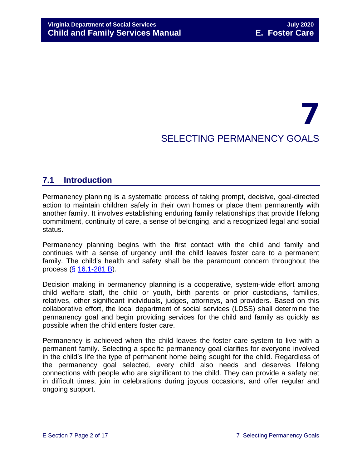# 7 SELECTING PERMANENCY GOALS

## <span id="page-1-0"></span>**7.1 Introduction**

Permanency planning is a systematic process of taking prompt, decisive, goal-directed action to maintain children safely in their own homes or place them permanently with another family. It involves establishing enduring family relationships that provide lifelong commitment, continuity of care, a sense of belonging, and a recognized legal and social status.

Permanency planning begins with the first contact with the child and family and continues with a sense of urgency until the child leaves foster care to a permanent family. The child's health and safety shall be the paramount concern throughout the process (§ [16.1-281 B\)](https://law.lis.virginia.gov/vacode/16.1-281/).

Decision making in permanency planning is a cooperative, system-wide effort among child welfare staff, the child or youth, birth parents or prior custodians, families, relatives, other significant individuals, judges, attorneys, and providers. Based on this collaborative effort, the local department of social services (LDSS) shall determine the permanency goal and begin providing services for the child and family as quickly as possible when the child enters foster care.

Permanency is achieved when the child leaves the foster care system to live with a permanent family. Selecting a specific permanency goal clarifies for everyone involved in the child's life the type of permanent home being sought for the child. Regardless of the permanency goal selected, every child also needs and deserves lifelong connections with people who are significant to the child. They can provide a safety net in difficult times, join in celebrations during joyous occasions, and offer regular and ongoing support.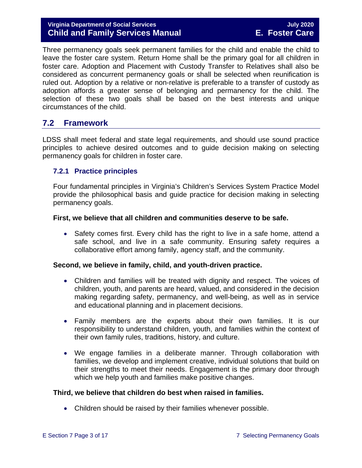#### **Virginia Department of Social Services July 2020 Child and Family Services Manual E. Foster Care**

Three permanency goals seek permanent families for the child and enable the child to leave the foster care system. Return Home shall be the primary goal for all children in foster care. Adoption and Placement with Custody Transfer to Relatives shall also be considered as concurrent permanency goals or shall be selected when reunification is ruled out. Adoption by a relative or non-relative is preferable to a transfer of custody as adoption affords a greater sense of belonging and permanency for the child. The selection of these two goals shall be based on the best interests and unique circumstances of the child.

## <span id="page-2-0"></span>**7.2 Framework**

LDSS shall meet federal and state legal requirements, and should use sound practice principles to achieve desired outcomes and to guide decision making on selecting permanency goals for children in foster care.

#### <span id="page-2-1"></span>**7.2.1 Practice principles**

Four fundamental principles in Virginia's Children's Services System Practice Model provide the philosophical basis and guide practice for decision making in selecting permanency goals.

#### **First, we believe that all children and communities deserve to be safe.**

• Safety comes first. Every child has the right to live in a safe home, attend a safe school, and live in a safe community. Ensuring safety requires a collaborative effort among family, agency staff, and the community.

#### **Second, we believe in family, child, and youth-driven practice.**

- Children and families will be treated with dignity and respect. The voices of children, youth, and parents are heard, valued, and considered in the decision making regarding safety, permanency, and well-being, as well as in service and educational planning and in placement decisions.
- Family members are the experts about their own families. It is our responsibility to understand children, youth, and families within the context of their own family rules, traditions, history, and culture.
- We engage families in a deliberate manner. Through collaboration with families, we develop and implement creative, individual solutions that build on their strengths to meet their needs. Engagement is the primary door through which we help youth and families make positive changes.

#### **Third, we believe that children do best when raised in families.**

• Children should be raised by their families whenever possible.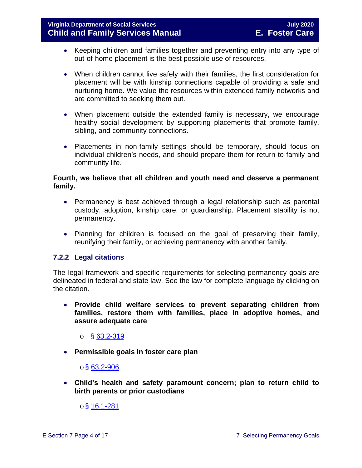- Keeping children and families together and preventing entry into any type of out-of-home placement is the best possible use of resources.
- When children cannot live safely with their families, the first consideration for placement will be with kinship connections capable of providing a safe and nurturing home. We value the resources within extended family networks and are committed to seeking them out.
- When placement outside the extended family is necessary, we encourage healthy social development by supporting placements that promote family, sibling, and community connections.
- Placements in non-family settings should be temporary, should focus on individual children's needs, and should prepare them for return to family and community life.

#### **Fourth, we believe that all children and youth need and deserve a permanent family.**

- Permanency is best achieved through a legal relationship such as parental custody, adoption, kinship care, or guardianship. Placement stability is not permanency.
- Planning for children is focused on the goal of preserving their family, reunifying their family, or achieving permanency with another family.

#### <span id="page-3-0"></span>**7.2.2 Legal citations**

The legal framework and specific requirements for selecting permanency goals are delineated in federal and state law. See the law for complete language by clicking on the citation.

• **Provide child welfare services to prevent separating children from families, restore them with families, place in adoptive homes, and assure adequate care**

o § [63.2-319](https://law.lis.virginia.gov/vacode/63.2-319/)

• **Permissible goals in foster care plan** 

#### $\circ$ § [63.2-906](https://law.lis.virginia.gov/vacode/63.2-906/)

• **Child's health and safety paramount concern; plan to return child to birth parents or prior custodians**

 $o$ § [16.1-281](https://law.lis.virginia.gov/vacode/16.1-281/)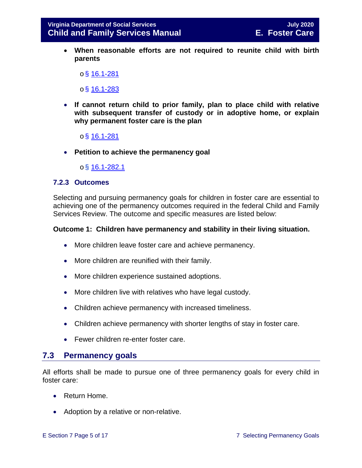• **When reasonable efforts are not required to reunite child with birth parents** 

 $\circ$  \$ [16.1-281](https://law.lis.virginia.gov/vacode/16.1-281/)

 $\circ$ § [16.1-283](https://law.lis.virginia.gov/vacode/16.1-283/)

- **If cannot return child to prior family, plan to place child with relative with subsequent transfer of custody or in adoptive home, or explain why permanent foster care is the plan** 
	- $o$ § [16.1-281](https://law.lis.virginia.gov/vacode/16.1-281/)
- **Petition to achieve the permanency goal**

o§ [16.1-282.1](https://law.lis.virginia.gov/vacode/16.1-282.1/)

#### <span id="page-4-0"></span>**7.2.3 Outcomes**

Selecting and pursuing permanency goals for children in foster care are essential to achieving one of the permanency outcomes required in the federal Child and Family Services Review. The outcome and specific measures are listed below:

#### **Outcome 1: Children have permanency and stability in their living situation.**

- More children leave foster care and achieve permanency.
- More children are reunified with their family.
- More children experience sustained adoptions.
- More children live with relatives who have legal custody.
- Children achieve permanency with increased timeliness.
- Children achieve permanency with shorter lengths of stay in foster care.
- Fewer children re-enter foster care.

## <span id="page-4-1"></span>**7.3 Permanency goals**

All efforts shall be made to pursue one of three permanency goals for every child in foster care:

- Return Home.
- Adoption by a relative or non-relative.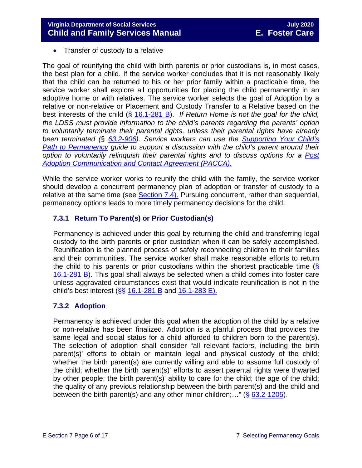• Transfer of custody to a relative

The goal of reunifying the child with birth parents or prior custodians is, in most cases, the best plan for a child. If the service worker concludes that it is not reasonably likely that the child can be returned to his or her prior family within a practicable time, the service worker shall explore all opportunities for placing the child permanently in an adoptive home or with relatives. The service worker selects the goal of Adoption by a relative or non-relative or Placement and Custody Transfer to a Relative based on the best interests of the child (§ [16.1-281 B\)](https://law.lis.virginia.gov/vacode/title16.1/chapter11/section16.1-282/). *If Return Home is not the goal for the child, the LDSS must provide information to the child's parents regarding the parents' option to voluntarily terminate their parental rights, unless their parental rights have already been terminated (*§ *[63.2-906\)](https://law.lis.virginia.gov/vacode/title63.2/chapter9/section63.2-906/). Service workers can use the [Supporting Your Child's](https://fusion.dss.virginia.gov/LinkClick.aspx?fileticket=QWtCbGXOUP0%3d&portalid=30)  [Path to Permanency](https://fusion.dss.virginia.gov/LinkClick.aspx?fileticket=QWtCbGXOUP0%3d&portalid=30) guide to support a discussion with the child's parent around their option to voluntarily relinquish their parental rights and to discuss options for a [Post](https://fusion.dss.virginia.gov/Portals/%5Bdfs%5D/Files/Adoption/PACCA.pdf)  [Adoption Communication and Contact Agreement \(PACCA\).](https://fusion.dss.virginia.gov/Portals/%5Bdfs%5D/Files/Adoption/PACCA.pdf)*

While the service worker works to reunify the child with the family, the service worker should develop a concurrent permanency plan of adoption or transfer of custody to a relative at the same time (see [Section 7.4\).](#page-6-1) Pursuing concurrent, rather than sequential, permanency options leads to more timely permanency decisions for the child.

#### <span id="page-5-0"></span>**7.3.1 Return To Parent(s) or Prior Custodian(s)**

Permanency is achieved under this goal by returning the child and transferring legal custody to the birth parents or prior custodian when it can be safely accomplished. Reunification is the planned process of safely reconnecting children to their families and their communities. The service worker shall make reasonable efforts to return the child to his parents or prior custodians within the shortest practicable time  $(\S$ [16.1-281 B\)](https://law.lis.virginia.gov/vacode/16.1-281/). This goal shall always be selected when a child comes into foster care unless aggravated circumstances exist that would indicate reunification is not in the child's best interest ( $\S$ § [16.1-281 B](https://law.lis.virginia.gov/vacode/16.1-281/) and [16.1-283 E\).](https://law.lis.virginia.gov/vacode/16.1-283/)

#### <span id="page-5-1"></span>**7.3.2 Adoption**

Permanency is achieved under this goal when the adoption of the child by a relative or non-relative has been finalized. Adoption is a planful process that provides the same legal and social status for a child afforded to children born to the parent(s). The selection of adoption shall consider "all relevant factors, including the birth parent(s)' efforts to obtain or maintain legal and physical custody of the child; whether the birth parent(s) are currently willing and able to assume full custody of the child; whether the birth parent(s)' efforts to assert parental rights were thwarted by other people; the birth parent(s)' ability to care for the child; the age of the child; the quality of any previous relationship between the birth parent(s) and the child and between the birth parent(s) and any other minor children;..." ( $\S$  [63.2-1205\)](https://law.lis.virginia.gov/vacode/63.2-1205/).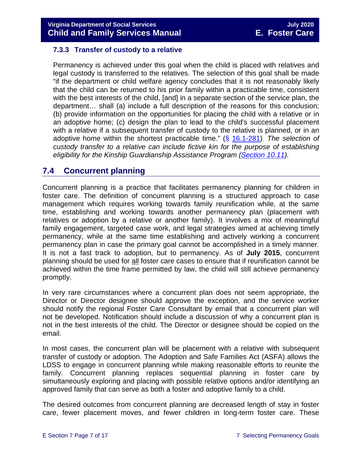#### <span id="page-6-0"></span>**7.3.3 Transfer of custody to a relative**

Permanency is achieved under this goal when the child is placed with relatives and legal custody is transferred to the relatives. The selection of this goal shall be made "if the department or child welfare agency concludes that it is not reasonably likely that the child can be returned to his prior family within a practicable time, consistent with the best interests of the child, [and] in a separate section of the service plan, the department… shall (a) include a full description of the reasons for this conclusion; (b) provide information on the opportunities for placing the child with a relative or in an adoptive home; (c) design the plan to lead to the child's successful placement with a relative if a subsequent transfer of custody to the relative is planned, or in an adoptive home within the shortest practicable time." (§ [16.1-281\)](https://law.lis.virginia.gov/vacode/16.1-281/). *The selection of custody transfer to a relative can include fictive kin for the purpose of establishing eligibility for the Kinship Guardianship Assistance Program [\(Section 10.11\)](https://fusion.dss.virginia.gov/Portals/%5bdfs%5d/Files/DFS%20Manuals/Foster%20Care%20Manuals/Foster%20Care%20Manual%2007-2020/Final%20Foster%20Care%20Manual%2007-2020/section_10_achieving_permanency_goal_custody_transfer_to_relatives.pdf#page=20).*

## <span id="page-6-1"></span>**7.4 Concurrent planning**

Concurrent planning is a practice that facilitates permanency planning for children in foster care. The definition of concurrent planning is a structured approach to case management which requires working towards family reunification while, at the same time, establishing and working towards another permanency plan (placement with relatives or adoption by a relative or another family). It involves a mix of meaningful family engagement, targeted case work, and legal strategies aimed at achieving timely permanency, while at the same time establishing and actively working a concurrent permanency plan in case the primary goal cannot be accomplished in a timely manner. It is not a fast track to adoption, but to permanency. As of **July 2015**, concurrent planning should be used for all foster care cases to ensure that if reunification cannot be achieved within the time frame permitted by law, the child will still achieve permanency promptly.

In very rare circumstances where a concurrent plan does not seem appropriate, the Director or Director designee should approve the exception, and the service worker should notify the regional Foster Care Consultant by email that a concurrent plan will not be developed. Notification should include a discussion of why a concurrent plan is not in the best interests of the child. The Director or designee should be copied on the email.

In most cases, the concurrent plan will be placement with a relative with subsequent transfer of custody or adoption. The Adoption and Safe Families Act (ASFA) allows the LDSS to engage in concurrent planning while making reasonable efforts to reunite the family. Concurrent planning replaces sequential planning in foster care by simultaneously exploring and placing with possible relative options and/or identifying an approved family that can serve as both a foster and adoptive family to a child.

The desired outcomes from concurrent planning are decreased length of stay in foster care, fewer placement moves, and fewer children in long-term foster care. These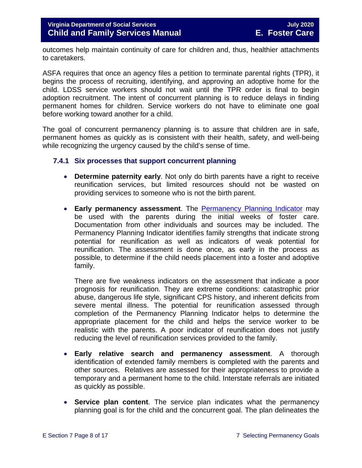outcomes help maintain continuity of care for children and, thus, healthier attachments to caretakers.

ASFA requires that once an agency files a petition to terminate parental rights (TPR), it begins the process of recruiting, identifying, and approving an adoptive home for the child. LDSS service workers should not wait until the TPR order is final to begin adoption recruitment. The intent of concurrent planning is to reduce delays in finding permanent homes for children. Service workers do not have to eliminate one goal before working toward another for a child.

The goal of concurrent permanency planning is to assure that children are in safe, permanent homes as quickly as is consistent with their health, safety, and well-being while recognizing the urgency caused by the child's sense of time.

#### <span id="page-7-0"></span>**7.4.1 Six processes that support concurrent planning**

- **Determine paternity early**. Not only do birth parents have a right to receive reunification services, but limited resources should not be wasted on providing services to someone who is not the birth parent.
- **Early permanency assessment**. The Permanency [Planning Indicator](https://fusion.dss.virginia.gov/Portals/%5bdfs%5d/Files/DFS%20FORMS/Foster%20Care%20Forms/Permanency%20Planning%20Indicator.pdf) may be used with the parents during the initial weeks of foster care. Documentation from other individuals and sources may be included. The Permanency Planning Indicator identifies family strengths that indicate strong potential for reunification as well as indicators of weak potential for reunification. The assessment is done once, as early in the process as possible, to determine if the child needs placement into a foster and adoptive family.

There are five weakness indicators on the assessment that indicate a poor prognosis for reunification. They are extreme conditions: catastrophic prior abuse, dangerous life style, significant CPS history, and inherent deficits from severe mental illness. The potential for reunification assessed through completion of the Permanency Planning Indicator helps to determine the appropriate placement for the child and helps the service worker to be realistic with the parents. A poor indicator of reunification does not justify reducing the level of reunification services provided to the family.

- **Early relative search and permanency assessment**. A thorough identification of extended family members is completed with the parents and other sources. Relatives are assessed for their appropriateness to provide a temporary and a permanent home to the child. Interstate referrals are initiated as quickly as possible.
- **Service plan content**. The service plan indicates what the permanency planning goal is for the child and the concurrent goal. The plan delineates the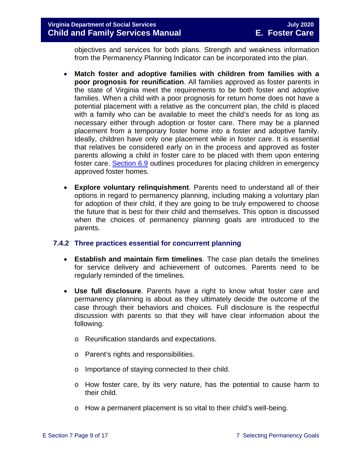#### **Virginia Department of Social Services July 2020 Child and Family Services Manual**

objectives and services for both plans. Strength and weakness information from the Permanency Planning Indicator can be incorporated into the plan.

- **Match foster and adoptive families with children from families with a poor prognosis for reunification**. All families approved as foster parents in the state of Virginia meet the requirements to be both foster and adoptive families. When a child with a poor prognosis for return home does not have a potential placement with a relative as the concurrent plan, the child is placed with a family who can be available to meet the child's needs for as long as necessary either through adoption or foster care. There may be a planned placement from a temporary foster home into a foster and adoptive family. Ideally, children have only one placement while in foster care. It is essential that relatives be considered early on in the process and approved as foster parents allowing a child in foster care to be placed with them upon entering foster care. [Section 6.9](https://fusion.dss.virginia.gov/Portals/%5bdfs%5d/Files/DFS%20Manuals/Foster%20Care%20Manuals/Foster%20Care%20Manual%2007-2020/Final%20Foster%20Care%20Manual%2007-2020/section_6_placement_to_achieve_permanency.pdf#page=27) outlines procedures for placing children in emergency approved foster homes.
- **Explore voluntary relinquishment**. Parents need to understand all of their options in regard to permanency planning, including making a voluntary plan for adoption of their child, if they are going to be truly empowered to choose the future that is best for their child and themselves. This option is discussed when the choices of permanency planning goals are introduced to the parents.

#### <span id="page-8-0"></span>**7.4.2 Three practices essential for concurrent planning**

- **Establish and maintain firm timelines**. The case plan details the timelines for service delivery and achievement of outcomes. Parents need to be regularly reminded of the timelines.
- **Use full disclosure**. Parents have a right to know what foster care and permanency planning is about as they ultimately decide the outcome of the case through their behaviors and choices. Full disclosure is the respectful discussion with parents so that they will have clear information about the following:
	- o Reunification standards and expectations.
	- o Parent's rights and responsibilities.
	- o Importance of staying connected to their child.
	- o How foster care, by its very nature, has the potential to cause harm to their child.
	- o How a permanent placement is so vital to their child's well-being.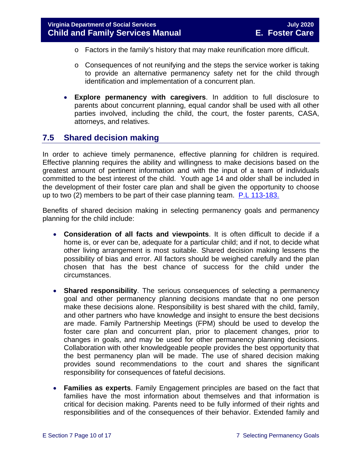- o Factors in the family's history that may make reunification more difficult.
- o Consequences of not reunifying and the steps the service worker is taking to provide an alternative permanency safety net for the child through identification and implementation of a concurrent plan.
- **Explore permanency with caregivers**. In addition to full disclosure to parents about concurrent planning, equal candor shall be used with all other parties involved, including the child, the court, the foster parents, CASA, attorneys, and relatives.

## <span id="page-9-0"></span>**7.5 Shared decision making**

In order to achieve timely permanence, effective planning for children is required. Effective planning requires the ability and willingness to make decisions based on the greatest amount of pertinent information and with the input of a team of individuals committed to the best interest of the child. Youth age 14 and older shall be included in the development of their foster care plan and shall be given the opportunity to choose up to two (2) members to be part of their case planning team. [P.L 113-183.](https://www.congress.gov/113/plaws/publ183/PLAW-113publ183.pdf)

Benefits of shared decision making in selecting permanency goals and permanency planning for the child include:

- **Consideration of all facts and viewpoints**. It is often difficult to decide if a home is, or ever can be, adequate for a particular child; and if not, to decide what other living arrangement is most suitable. Shared decision making lessens the possibility of bias and error. All factors should be weighed carefully and the plan chosen that has the best chance of success for the child under the circumstances.
- **Shared responsibility**. The serious consequences of selecting a permanency goal and other permanency planning decisions mandate that no one person make these decisions alone. Responsibility is best shared with the child, family, and other partners who have knowledge and insight to ensure the best decisions are made. Family Partnership Meetings (FPM) should be used to develop the foster care plan and concurrent plan, prior to placement changes, prior to changes in goals, and may be used for other permanency planning decisions. Collaboration with other knowledgeable people provides the best opportunity that the best permanency plan will be made. The use of shared decision making provides sound recommendations to the court and shares the significant responsibility for consequences of fateful decisions.
- **Families as experts**. Family Engagement principles are based on the fact that families have the most information about themselves and that information is critical for decision making. Parents need to be fully informed of their rights and responsibilities and of the consequences of their behavior. Extended family and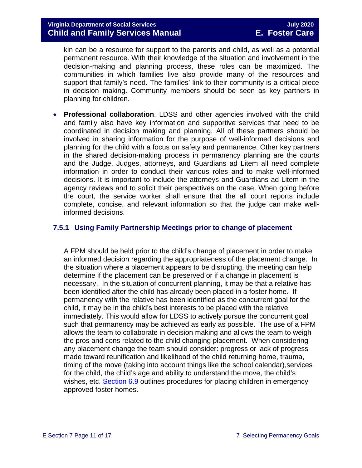kin can be a resource for support to the parents and child, as well as a potential permanent resource. With their knowledge of the situation and involvement in the decision-making and planning process, these roles can be maximized. The communities in which families live also provide many of the resources and support that family's need. The families' link to their community is a critical piece in decision making. Community members should be seen as key partners in planning for children.

• **Professional collaboration**. LDSS and other agencies involved with the child and family also have key information and supportive services that need to be coordinated in decision making and planning. All of these partners should be involved in sharing information for the purpose of well-informed decisions and planning for the child with a focus on safety and permanence. Other key partners in the shared decision-making process in permanency planning are the courts and the Judge. Judges, attorneys, and Guardians ad Litem all need complete information in order to conduct their various roles and to make well-informed decisions. It is important to include the attorneys and Guardians ad Litem in the agency reviews and to solicit their perspectives on the case. When going before the court, the service worker shall ensure that the all court reports include complete, concise, and relevant information so that the judge can make wellinformed decisions.

#### <span id="page-10-0"></span>**7.5.1 Using Family Partnership Meetings prior to change of placement**

A FPM should be held prior to the child's change of placement in order to make an informed decision regarding the appropriateness of the placement change. In the situation where a placement appears to be disrupting, the meeting can help determine if the placement can be preserved or if a change in placement is necessary. In the situation of concurrent planning, it may be that a relative has been identified after the child has already been placed in a foster home. If permanency with the relative has been identified as the concurrent goal for the child, it may be in the child's best interests to be placed with the relative immediately. This would allow for LDSS to actively pursue the concurrent goal such that permanency may be achieved as early as possible. The use of a FPM allows the team to collaborate in decision making and allows the team to weigh the pros and cons related to the child changing placement. When considering any placement change the team should consider: progress or lack of progress made toward reunification and likelihood of the child returning home, trauma, timing of the move (taking into account things like the school calendar),services for the child, the child's age and ability to understand the move, the child's wishes, etc. [Section 6.9](https://fusion.dss.virginia.gov/Portals/%5bdfs%5d/Files/DFS%20Manuals/Foster%20Care%20Manuals/Foster%20Care%20Manual%2007-2020/Final%20Foster%20Care%20Manual%2007-2020/section_6_placement_to_achieve_permanency.pdf#page=27) outlines procedures for placing children in emergency approved foster homes.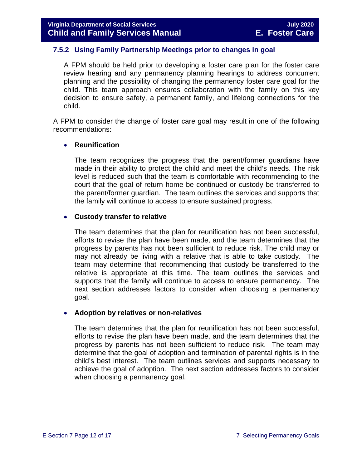#### <span id="page-11-0"></span>**7.5.2 Using Family Partnership Meetings prior to changes in goal**

A FPM should be held prior to developing a foster care plan for the foster care review hearing and any permanency planning hearings to address concurrent planning and the possibility of changing the permanency foster care goal for the child. This team approach ensures collaboration with the family on this key decision to ensure safety, a permanent family, and lifelong connections for the child.

A FPM to consider the change of foster care goal may result in one of the following recommendations:

#### • **Reunification**

The team recognizes the progress that the parent/former guardians have made in their ability to protect the child and meet the child's needs. The risk level is reduced such that the team is comfortable with recommending to the court that the goal of return home be continued or custody be transferred to the parent/former guardian. The team outlines the services and supports that the family will continue to access to ensure sustained progress.

#### • **Custody transfer to relative**

The team determines that the plan for reunification has not been successful, efforts to revise the plan have been made, and the team determines that the progress by parents has not been sufficient to reduce risk. The child may or may not already be living with a relative that is able to take custody. The team may determine that recommending that custody be transferred to the relative is appropriate at this time. The team outlines the services and supports that the family will continue to access to ensure permanency. The next section addresses factors to consider when choosing a permanency goal.

#### • **Adoption by relatives or non-relatives**

The team determines that the plan for reunification has not been successful, efforts to revise the plan have been made, and the team determines that the progress by parents has not been sufficient to reduce risk. The team may determine that the goal of adoption and termination of parental rights is in the child's best interest. The team outlines services and supports necessary to achieve the goal of adoption. The next section addresses factors to consider when choosing a permanency goal.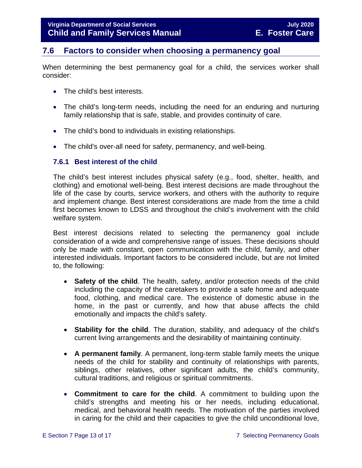## <span id="page-12-0"></span>**7.6 Factors to consider when choosing a permanency goal**

When determining the best permanency goal for a child, the services worker shall consider:

- The child's best interests.
- The child's long-term needs, including the need for an enduring and nurturing family relationship that is safe, stable, and provides continuity of care.
- The child's bond to individuals in existing relationships.
- The child's over-all need for safety, permanency, and well-being.

#### <span id="page-12-1"></span>**7.6.1 Best interest of the child**

The child's best interest includes physical safety (e.g., food, shelter, health, and clothing) and emotional well-being. Best interest decisions are made throughout the life of the case by courts, service workers, and others with the authority to require and implement change. Best interest considerations are made from the time a child first becomes known to LDSS and throughout the child's involvement with the child welfare system.

Best interest decisions related to selecting the permanency goal include consideration of a wide and comprehensive range of issues. These decisions should only be made with constant, open communication with the child, family, and other interested individuals. Important factors to be considered include, but are not limited to, the following:

- **Safety of the child**. The health, safety, and/or protection needs of the child including the capacity of the caretakers to provide a safe home and adequate food, clothing, and medical care. The existence of domestic abuse in the home, in the past or currently, and how that abuse affects the child emotionally and impacts the child's safety.
- **Stability for the child**. The duration, stability, and adequacy of the child's current living arrangements and the desirability of maintaining continuity.
- **A permanent family**. A permanent, long-term stable family meets the unique needs of the child for stability and continuity of relationships with parents, siblings, other relatives, other significant adults, the child's community, cultural traditions, and religious or spiritual commitments.
- **Commitment to care for the child**. A commitment to building upon the child's strengths and meeting his or her needs, including educational, medical, and behavioral health needs. The motivation of the parties involved in caring for the child and their capacities to give the child unconditional love,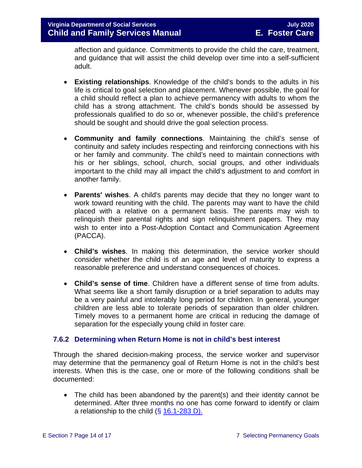affection and guidance. Commitments to provide the child the care, treatment, and guidance that will assist the child develop over time into a self-sufficient adult.

- **Existing relationships**. Knowledge of the child's bonds to the adults in his life is critical to goal selection and placement. Whenever possible, the goal for a child should reflect a plan to achieve permanency with adults to whom the child has a strong attachment. The child's bonds should be assessed by professionals qualified to do so or, whenever possible, the child's preference should be sought and should drive the goal selection process.
- **Community and family connections**. Maintaining the child's sense of continuity and safety includes respecting and reinforcing connections with his or her family and community. The child's need to maintain connections with his or her siblings, school, church, social groups, and other individuals important to the child may all impact the child's adjustment to and comfort in another family.
- **Parents' wishes**. A child's parents may decide that they no longer want to work toward reuniting with the child. The parents may want to have the child placed with a relative on a permanent basis. The parents may wish to relinquish their parental rights and sign relinquishment papers. They may wish to enter into a Post-Adoption Contact and Communication Agreement (PACCA).
- **Child's wishes**. In making this determination, the service worker should consider whether the child is of an age and level of maturity to express a reasonable preference and understand consequences of choices.
- **Child's sense of time**. Children have a different sense of time from adults. What seems like a short family disruption or a brief separation to adults may be a very painful and intolerably long period for children. In general, younger children are less able to tolerate periods of separation than older children. Timely moves to a permanent home are critical in reducing the damage of separation for the especially young child in foster care.

#### <span id="page-13-0"></span>**7.6.2 Determining when Return Home is not in child's best interest**

Through the shared decision-making process, the service worker and supervisor may determine that the permanency goal of Return Home is not in the child's best interests. When this is the case, one or more of the following conditions shall be documented:

• The child has been abandoned by the parent(s) and their identity cannot be determined. After three months no one has come forward to identify or claim a relationship to the child  $(\S 16.1 - 283 D)$ .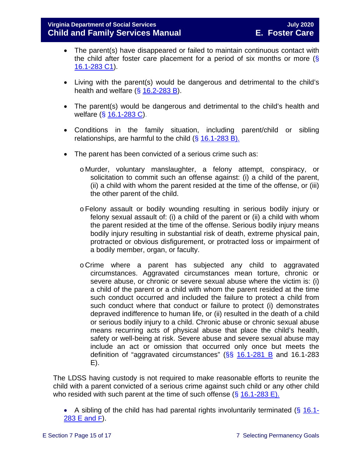- The parent(s) have disappeared or failed to maintain continuous contact with the child after foster care placement for a period of six months or more  $(\S$ [16.1-283 C1\)](https://law.lis.virginia.gov/vacode/16.1-283/).
- Living with the parent(s) would be dangerous and detrimental to the child's health and welfare  $(\frac{6}{5}$  [16.2-283 B\)](https://law.lis.virginia.gov/vacode/16.1-283/).
- The parent(s) would be dangerous and detrimental to the child's health and welfare (§ [16.1-283 C\)](https://law.lis.virginia.gov/vacode/16.1-283/).
- Conditions in the family situation, including parent/child or sibling relationships, are harmful to the child  $(\S 16.1-283 B)$ .
- The parent has been convicted of a serious crime such as:
	- o Murder, voluntary manslaughter, a felony attempt, conspiracy, or solicitation to commit such an offense against: (i) a child of the parent, (ii) a child with whom the parent resided at the time of the offense, or (iii) the other parent of the child.
	- oFelony assault or bodily wounding resulting in serious bodily injury or felony sexual assault of: (i) a child of the parent or (ii) a child with whom the parent resided at the time of the offense. Serious bodily injury means bodily injury resulting in substantial risk of death, extreme physical pain, protracted or obvious disfigurement, or protracted loss or impairment of a bodily member, organ, or faculty.
	- o Crime where a parent has subjected any child to aggravated circumstances. Aggravated circumstances mean torture, chronic or severe abuse, or chronic or severe sexual abuse where the victim is: (i) a child of the parent or a child with whom the parent resided at the time such conduct occurred and included the failure to protect a child from such conduct where that conduct or failure to protect (i) demonstrates depraved indifference to human life, or (ii) resulted in the death of a child or serious bodily injury to a child. Chronic abuse or chronic sexual abuse means recurring acts of physical abuse that place the child's health, safety or well-being at risk. Severe abuse and severe sexual abuse may include an act or omission that occurred only once but meets the definition of "aggravated circumstances"  $(S<sub>S</sub> 16.1-281 B$  $(S<sub>S</sub> 16.1-281 B$  and 16.1-283 E).

The LDSS having custody is not required to make reasonable efforts to reunite the child with a parent convicted of a serious crime against such child or any other child who resided with such parent at the time of such offense  $(\S 16.1\n-283 E)$ .

• A sibling of the child has had parental rights involuntarily terminated  $(\S 16.1$ -[283 E and F\)](https://law.lis.virginia.gov/vacode/16.1-283/).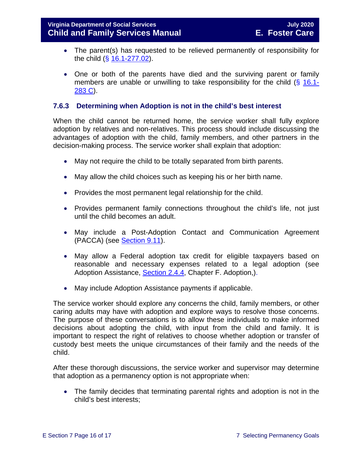- The parent(s) has requested to be relieved permanently of responsibility for the child (§ [16.1-277.02\)](https://law.lis.virginia.gov/vacode/16.1-277.02/).
- One or both of the parents have died and the surviving parent or family members are unable or unwilling to take responsibility for the child (§ [16.1-](https://law.lis.virginia.gov/vacode/16.1-283/) [283 C\)](https://law.lis.virginia.gov/vacode/16.1-283/).

#### <span id="page-15-0"></span>**7.6.3 Determining when Adoption is not in the child's best interest**

When the child cannot be returned home, the service worker shall fully explore adoption by relatives and non-relatives. This process should include discussing the advantages of adoption with the child, family members, and other partners in the decision-making process. The service worker shall explain that adoption:

- May not require the child to be totally separated from birth parents.
- May allow the child choices such as keeping his or her birth name.
- Provides the most permanent legal relationship for the child.
- Provides permanent family connections throughout the child's life, not just until the child becomes an adult.
- May include a Post-Adoption Contact and Communication Agreement (PACCA) (see [Section 9.11\)](https://fusion.dss.virginia.gov/Portals/%5bdfs%5d/Files/DFS%20Manuals/Foster%20Care%20Manuals/Foster%20Care%20Manual%2007-2020/Final%20Foster%20Care%20Manual%2007-2020/section_9_achieving_permanency_goal_adoption.pdf#page=33).
- May allow a Federal adoption tax credit for eligible taxpayers based on reasonable and necessary expenses related to a legal adoption (see Adoption Assistance, [Section 2.4.4,](https://fusion.dss.virginia.gov/Portals/%5Bdfs%5D/Files/Adoption/Guidance/2020/section_2_adoption%20assistance.pdf#page=13) Chapter F. Adoption,).
- May include Adoption Assistance payments if applicable.

The service worker should explore any concerns the child, family members, or other caring adults may have with adoption and explore ways to resolve those concerns. The purpose of these conversations is to allow these individuals to make informed decisions about adopting the child, with input from the child and family. It is important to respect the right of relatives to choose whether adoption or transfer of custody best meets the unique circumstances of their family and the needs of the child.

After these thorough discussions, the service worker and supervisor may determine that adoption as a permanency option is not appropriate when:

• The family decides that terminating parental rights and adoption is not in the child's best interests;